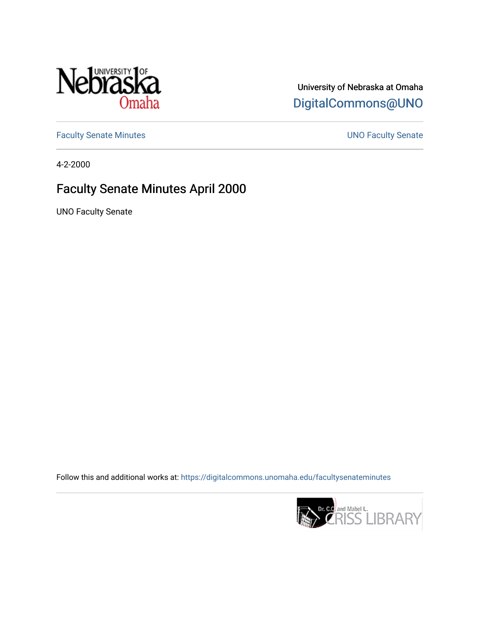

# University of Nebraska at Omaha [DigitalCommons@UNO](https://digitalcommons.unomaha.edu/)

[Faculty Senate Minutes](https://digitalcommons.unomaha.edu/facultysenateminutes) **Exercise Senate UNO Faculty Senate** 

4-2-2000

# Faculty Senate Minutes April 2000

UNO Faculty Senate

Follow this and additional works at: [https://digitalcommons.unomaha.edu/facultysenateminutes](https://digitalcommons.unomaha.edu/facultysenateminutes?utm_source=digitalcommons.unomaha.edu%2Ffacultysenateminutes%2F67&utm_medium=PDF&utm_campaign=PDFCoverPages) 

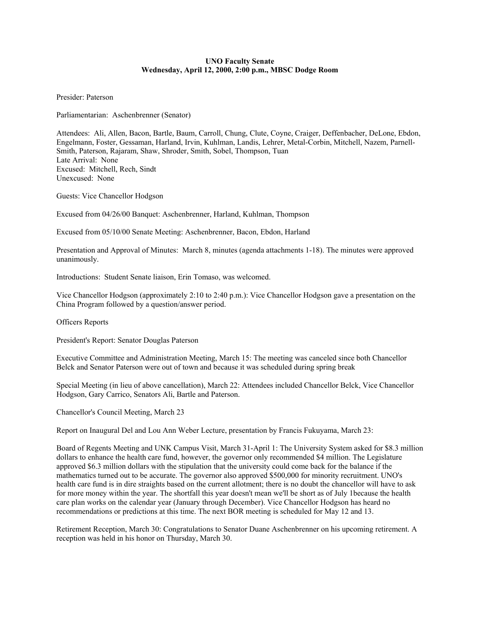# **UNO Faculty Senate Wednesday, April 12, 2000, 2:00 p.m., MBSC Dodge Room**

Presider: Paterson

Parliamentarian: Aschenbrenner (Senator)

Attendees: Ali, Allen, Bacon, Bartle, Baum, Carroll, Chung, Clute, Coyne, Craiger, Deffenbacher, DeLone, Ebdon, Engelmann, Foster, Gessaman, Harland, Irvin, Kuhlman, Landis, Lehrer, Metal-Corbin, Mitchell, Nazem, Parnell-Smith, Paterson, Rajaram, Shaw, Shroder, Smith, Sobel, Thompson, Tuan Late Arrival: None Excused: Mitchell, Rech, Sindt Unexcused: None

Guests: Vice Chancellor Hodgson

Excused from 04/26/00 Banquet: Aschenbrenner, Harland, Kuhlman, Thompson

Excused from 05/10/00 Senate Meeting: Aschenbrenner, Bacon, Ebdon, Harland

Presentation and Approval of Minutes: March 8, minutes (agenda attachments 1-18). The minutes were approved unanimously.

Introductions: Student Senate liaison, Erin Tomaso, was welcomed.

Vice Chancellor Hodgson (approximately 2:10 to 2:40 p.m.): Vice Chancellor Hodgson gave a presentation on the China Program followed by a question/answer period.

Officers Reports

President's Report: Senator Douglas Paterson

Executive Committee and Administration Meeting, March 15: The meeting was canceled since both Chancellor Belck and Senator Paterson were out of town and because it was scheduled during spring break

Special Meeting (in lieu of above cancellation), March 22: Attendees included Chancellor Belck, Vice Chancellor Hodgson, Gary Carrico, Senators Ali, Bartle and Paterson.

Chancellor's Council Meeting, March 23

Report on Inaugural Del and Lou Ann Weber Lecture, presentation by Francis Fukuyama, March 23:

Board of Regents Meeting and UNK Campus Visit, March 31-April 1: The University System asked for \$8.3 million dollars to enhance the health care fund, however, the governor only recommended \$4 million. The Legislature approved \$6.3 million dollars with the stipulation that the university could come back for the balance if the mathematics turned out to be accurate. The governor also approved \$500,000 for minority recruitment. UNO's health care fund is in dire straights based on the current allotment; there is no doubt the chancellor will have to ask for more money within the year. The shortfall this year doesn't mean we'll be short as of July 1because the health care plan works on the calendar year (January through December). Vice Chancellor Hodgson has heard no recommendations or predictions at this time. The next BOR meeting is scheduled for May 12 and 13.

Retirement Reception, March 30: Congratulations to Senator Duane Aschenbrenner on his upcoming retirement. A reception was held in his honor on Thursday, March 30.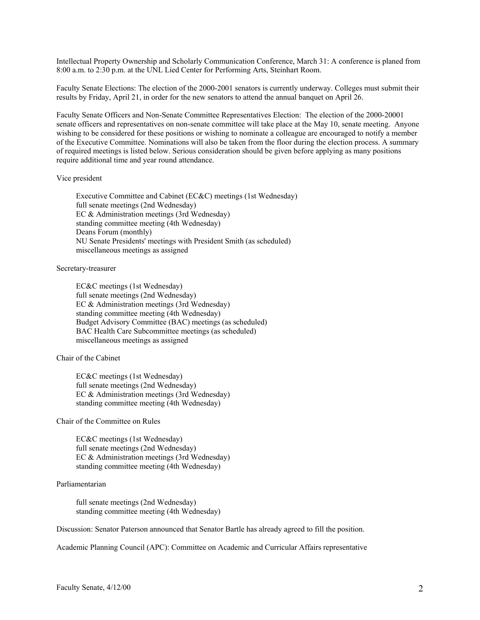Intellectual Property Ownership and Scholarly Communication Conference, March 31: A conference is planed from 8:00 a.m. to 2:30 p.m. at the UNL Lied Center for Performing Arts, Steinhart Room.

Faculty Senate Elections: The election of the 2000-2001 senators is currently underway. Colleges must submit their results by Friday, April 21, in order for the new senators to attend the annual banquet on April 26.

Faculty Senate Officers and Non-Senate Committee Representatives Election: The election of the 2000-20001 senate officers and representatives on non-senate committee will take place at the May 10, senate meeting. Anyone wishing to be considered for these positions or wishing to nominate a colleague are encouraged to notify a member of the Executive Committee. Nominations will also be taken from the floor during the election process. A summary of required meetings is listed below. Serious consideration should be given before applying as many positions require additional time and year round attendance.

#### Vice president

 Executive Committee and Cabinet (EC&C) meetings (1st Wednesday) full senate meetings (2nd Wednesday) EC & Administration meetings (3rd Wednesday) standing committee meeting (4th Wednesday) Deans Forum (monthly) NU Senate Presidents' meetings with President Smith (as scheduled) miscellaneous meetings as assigned

#### Secretary-treasurer

 EC&C meetings (1st Wednesday) full senate meetings (2nd Wednesday) EC & Administration meetings (3rd Wednesday) standing committee meeting (4th Wednesday) Budget Advisory Committee (BAC) meetings (as scheduled) BAC Health Care Subcommittee meetings (as scheduled) miscellaneous meetings as assigned

### Chair of the Cabinet

 EC&C meetings (1st Wednesday) full senate meetings (2nd Wednesday) EC & Administration meetings (3rd Wednesday) standing committee meeting (4th Wednesday)

Chair of the Committee on Rules

 EC&C meetings (1st Wednesday) full senate meetings (2nd Wednesday) EC & Administration meetings (3rd Wednesday) standing committee meeting (4th Wednesday)

# Parliamentarian

 full senate meetings (2nd Wednesday) standing committee meeting (4th Wednesday)

Discussion: Senator Paterson announced that Senator Bartle has already agreed to fill the position.

Academic Planning Council (APC): Committee on Academic and Curricular Affairs representative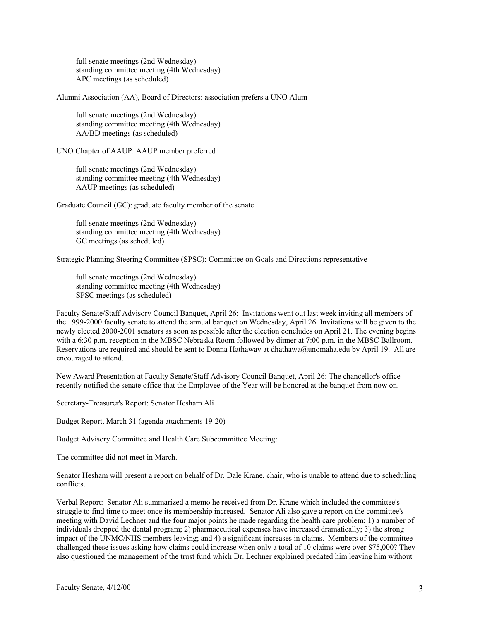full senate meetings (2nd Wednesday) standing committee meeting (4th Wednesday) APC meetings (as scheduled)

Alumni Association (AA), Board of Directors: association prefers a UNO Alum

 full senate meetings (2nd Wednesday) standing committee meeting (4th Wednesday) AA/BD meetings (as scheduled)

UNO Chapter of AAUP: AAUP member preferred

 full senate meetings (2nd Wednesday) standing committee meeting (4th Wednesday) AAUP meetings (as scheduled)

Graduate Council (GC): graduate faculty member of the senate

 full senate meetings (2nd Wednesday) standing committee meeting (4th Wednesday) GC meetings (as scheduled)

Strategic Planning Steering Committee (SPSC): Committee on Goals and Directions representative

 full senate meetings (2nd Wednesday) standing committee meeting (4th Wednesday) SPSC meetings (as scheduled)

Faculty Senate/Staff Advisory Council Banquet, April 26: Invitations went out last week inviting all members of the 1999-2000 faculty senate to attend the annual banquet on Wednesday, April 26. Invitations will be given to the newly elected 2000-2001 senators as soon as possible after the election concludes on April 21. The evening begins with a 6:30 p.m. reception in the MBSC Nebraska Room followed by dinner at 7:00 p.m. in the MBSC Ballroom. Reservations are required and should be sent to Donna Hathaway at dhathawa@unomaha.edu by April 19. All are encouraged to attend.

New Award Presentation at Faculty Senate/Staff Advisory Council Banquet, April 26: The chancellor's office recently notified the senate office that the Employee of the Year will be honored at the banquet from now on.

Secretary-Treasurer's Report: Senator Hesham Ali

Budget Report, March 31 (agenda attachments 19-20)

Budget Advisory Committee and Health Care Subcommittee Meeting:

The committee did not meet in March.

Senator Hesham will present a report on behalf of Dr. Dale Krane, chair, who is unable to attend due to scheduling conflicts.

Verbal Report: Senator Ali summarized a memo he received from Dr. Krane which included the committee's struggle to find time to meet once its membership increased. Senator Ali also gave a report on the committee's meeting with David Lechner and the four major points he made regarding the health care problem: 1) a number of individuals dropped the dental program; 2) pharmaceutical expenses have increased dramatically; 3) the strong impact of the UNMC/NHS members leaving; and 4) a significant increases in claims. Members of the committee challenged these issues asking how claims could increase when only a total of 10 claims were over \$75,000? They also questioned the management of the trust fund which Dr. Lechner explained predated him leaving him without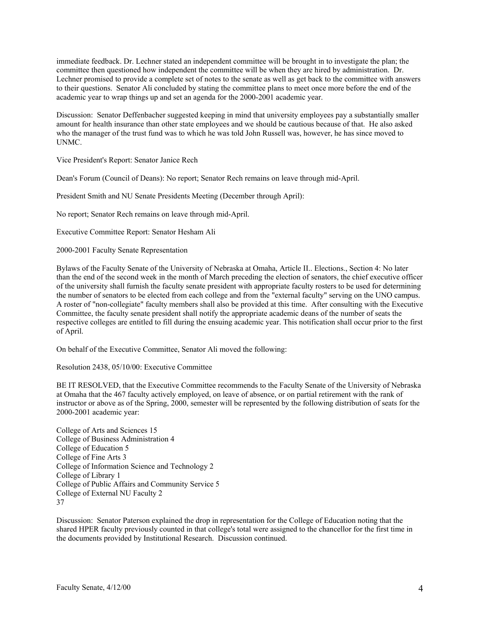immediate feedback. Dr. Lechner stated an independent committee will be brought in to investigate the plan; the committee then questioned how independent the committee will be when they are hired by administration. Dr. Lechner promised to provide a complete set of notes to the senate as well as get back to the committee with answers to their questions. Senator Ali concluded by stating the committee plans to meet once more before the end of the academic year to wrap things up and set an agenda for the 2000-2001 academic year.

Discussion: Senator Deffenbacher suggested keeping in mind that university employees pay a substantially smaller amount for health insurance than other state employees and we should be cautious because of that. He also asked who the manager of the trust fund was to which he was told John Russell was, however, he has since moved to UNMC.

Vice President's Report: Senator Janice Rech

Dean's Forum (Council of Deans): No report; Senator Rech remains on leave through mid-April.

President Smith and NU Senate Presidents Meeting (December through April):

No report; Senator Rech remains on leave through mid-April.

Executive Committee Report: Senator Hesham Ali

2000-2001 Faculty Senate Representation

Bylaws of the Faculty Senate of the University of Nebraska at Omaha, Article II.. Elections., Section 4: No later than the end of the second week in the month of March preceding the election of senators, the chief executive officer of the university shall furnish the faculty senate president with appropriate faculty rosters to be used for determining the number of senators to be elected from each college and from the "external faculty" serving on the UNO campus. A roster of "non-collegiate" faculty members shall also be provided at this time. After consulting with the Executive Committee, the faculty senate president shall notify the appropriate academic deans of the number of seats the respective colleges are entitled to fill during the ensuing academic year. This notification shall occur prior to the first of April.

On behalf of the Executive Committee, Senator Ali moved the following:

Resolution 2438, 05/10/00: Executive Committee

BE IT RESOLVED, that the Executive Committee recommends to the Faculty Senate of the University of Nebraska at Omaha that the 467 faculty actively employed, on leave of absence, or on partial retirement with the rank of instructor or above as of the Spring, 2000, semester will be represented by the following distribution of seats for the 2000-2001 academic year:

College of Arts and Sciences 15 College of Business Administration 4 College of Education 5 College of Fine Arts 3 College of Information Science and Technology 2 College of Library 1 College of Public Affairs and Community Service 5 College of External NU Faculty 2 37

Discussion: Senator Paterson explained the drop in representation for the College of Education noting that the shared HPER faculty previously counted in that college's total were assigned to the chancellor for the first time in the documents provided by Institutional Research. Discussion continued.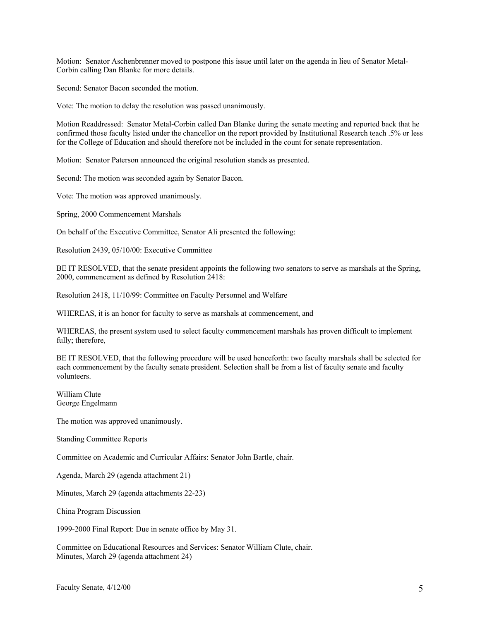Motion: Senator Aschenbrenner moved to postpone this issue until later on the agenda in lieu of Senator Metal-Corbin calling Dan Blanke for more details.

Second: Senator Bacon seconded the motion.

Vote: The motion to delay the resolution was passed unanimously.

Motion Readdressed: Senator Metal-Corbin called Dan Blanke during the senate meeting and reported back that he confirmed those faculty listed under the chancellor on the report provided by Institutional Research teach .5% or less for the College of Education and should therefore not be included in the count for senate representation.

Motion: Senator Paterson announced the original resolution stands as presented.

Second: The motion was seconded again by Senator Bacon.

Vote: The motion was approved unanimously.

Spring, 2000 Commencement Marshals

On behalf of the Executive Committee, Senator Ali presented the following:

Resolution 2439, 05/10/00: Executive Committee

BE IT RESOLVED, that the senate president appoints the following two senators to serve as marshals at the Spring, 2000, commencement as defined by Resolution 2418:

Resolution 2418, 11/10/99: Committee on Faculty Personnel and Welfare

WHEREAS, it is an honor for faculty to serve as marshals at commencement, and

WHEREAS, the present system used to select faculty commencement marshals has proven difficult to implement fully; therefore,

BE IT RESOLVED, that the following procedure will be used henceforth: two faculty marshals shall be selected for each commencement by the faculty senate president. Selection shall be from a list of faculty senate and faculty volunteers.

William Clute George Engelmann

The motion was approved unanimously.

Standing Committee Reports

Committee on Academic and Curricular Affairs: Senator John Bartle, chair.

Agenda, March 29 (agenda attachment 21)

Minutes, March 29 (agenda attachments 22-23)

China Program Discussion

1999-2000 Final Report: Due in senate office by May 31.

Committee on Educational Resources and Services: Senator William Clute, chair. Minutes, March 29 (agenda attachment 24)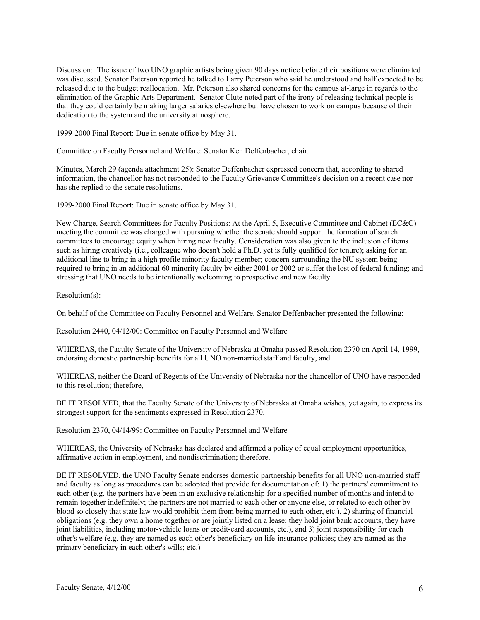Discussion: The issue of two UNO graphic artists being given 90 days notice before their positions were eliminated was discussed. Senator Paterson reported he talked to Larry Peterson who said he understood and half expected to be released due to the budget reallocation. Mr. Peterson also shared concerns for the campus at-large in regards to the elimination of the Graphic Arts Department. Senator Clute noted part of the irony of releasing technical people is that they could certainly be making larger salaries elsewhere but have chosen to work on campus because of their dedication to the system and the university atmosphere.

1999-2000 Final Report: Due in senate office by May 31.

Committee on Faculty Personnel and Welfare: Senator Ken Deffenbacher, chair.

Minutes, March 29 (agenda attachment 25): Senator Deffenbacher expressed concern that, according to shared information, the chancellor has not responded to the Faculty Grievance Committee's decision on a recent case nor has she replied to the senate resolutions.

1999-2000 Final Report: Due in senate office by May 31.

New Charge, Search Committees for Faculty Positions: At the April 5, Executive Committee and Cabinet (EC&C) meeting the committee was charged with pursuing whether the senate should support the formation of search committees to encourage equity when hiring new faculty. Consideration was also given to the inclusion of items such as hiring creatively (i.e., colleague who doesn't hold a Ph.D. yet is fully qualified for tenure); asking for an additional line to bring in a high profile minority faculty member; concern surrounding the NU system being required to bring in an additional 60 minority faculty by either 2001 or 2002 or suffer the lost of federal funding; and stressing that UNO needs to be intentionally welcoming to prospective and new faculty.

Resolution(s):

On behalf of the Committee on Faculty Personnel and Welfare, Senator Deffenbacher presented the following:

Resolution 2440, 04/12/00: Committee on Faculty Personnel and Welfare

WHEREAS, the Faculty Senate of the University of Nebraska at Omaha passed Resolution 2370 on April 14, 1999, endorsing domestic partnership benefits for all UNO non-married staff and faculty, and

WHEREAS, neither the Board of Regents of the University of Nebraska nor the chancellor of UNO have responded to this resolution; therefore,

BE IT RESOLVED, that the Faculty Senate of the University of Nebraska at Omaha wishes, yet again, to express its strongest support for the sentiments expressed in Resolution 2370.

Resolution 2370, 04/14/99: Committee on Faculty Personnel and Welfare

WHEREAS, the University of Nebraska has declared and affirmed a policy of equal employment opportunities, affirmative action in employment, and nondiscrimination; therefore,

BE IT RESOLVED, the UNO Faculty Senate endorses domestic partnership benefits for all UNO non-married staff and faculty as long as procedures can be adopted that provide for documentation of: 1) the partners' commitment to each other (e.g. the partners have been in an exclusive relationship for a specified number of months and intend to remain together indefinitely; the partners are not married to each other or anyone else, or related to each other by blood so closely that state law would prohibit them from being married to each other, etc.), 2) sharing of financial obligations (e.g. they own a home together or are jointly listed on a lease; they hold joint bank accounts, they have joint liabilities, including motor-vehicle loans or credit-card accounts, etc.), and 3) joint responsibility for each other's welfare (e.g. they are named as each other's beneficiary on life-insurance policies; they are named as the primary beneficiary in each other's wills; etc.)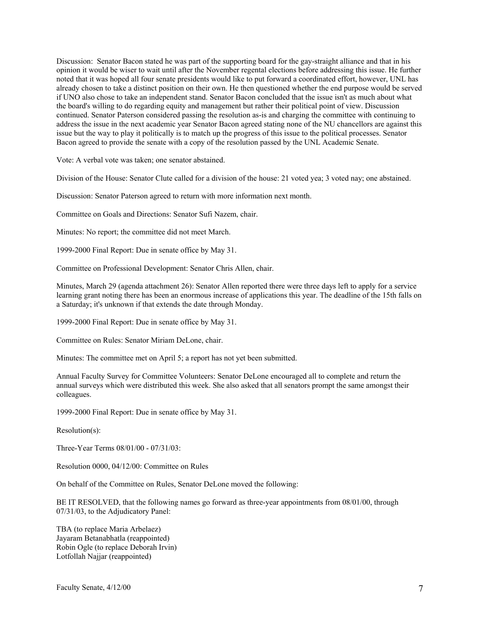Discussion: Senator Bacon stated he was part of the supporting board for the gay-straight alliance and that in his opinion it would be wiser to wait until after the November regental elections before addressing this issue. He further noted that it was hoped all four senate presidents would like to put forward a coordinated effort, however, UNL has already chosen to take a distinct position on their own. He then questioned whether the end purpose would be served if UNO also chose to take an independent stand. Senator Bacon concluded that the issue isn't as much about what the board's willing to do regarding equity and management but rather their political point of view. Discussion continued. Senator Paterson considered passing the resolution as-is and charging the committee with continuing to address the issue in the next academic year Senator Bacon agreed stating none of the NU chancellors are against this issue but the way to play it politically is to match up the progress of this issue to the political processes. Senator Bacon agreed to provide the senate with a copy of the resolution passed by the UNL Academic Senate.

Vote: A verbal vote was taken; one senator abstained.

Division of the House: Senator Clute called for a division of the house: 21 voted yea; 3 voted nay; one abstained.

Discussion: Senator Paterson agreed to return with more information next month.

Committee on Goals and Directions: Senator Sufi Nazem, chair.

Minutes: No report; the committee did not meet March.

1999-2000 Final Report: Due in senate office by May 31.

Committee on Professional Development: Senator Chris Allen, chair.

Minutes, March 29 (agenda attachment 26): Senator Allen reported there were three days left to apply for a service learning grant noting there has been an enormous increase of applications this year. The deadline of the 15th falls on a Saturday; it's unknown if that extends the date through Monday.

1999-2000 Final Report: Due in senate office by May 31.

Committee on Rules: Senator Miriam DeLone, chair.

Minutes: The committee met on April 5; a report has not yet been submitted.

Annual Faculty Survey for Committee Volunteers: Senator DeLone encouraged all to complete and return the annual surveys which were distributed this week. She also asked that all senators prompt the same amongst their colleagues.

1999-2000 Final Report: Due in senate office by May 31.

Resolution(s):

Three-Year Terms 08/01/00 - 07/31/03:

Resolution 0000, 04/12/00: Committee on Rules

On behalf of the Committee on Rules, Senator DeLone moved the following:

BE IT RESOLVED, that the following names go forward as three-year appointments from 08/01/00, through 07/31/03, to the Adjudicatory Panel:

TBA (to replace Maria Arbelaez) Jayaram Betanabhatla (reappointed) Robin Ogle (to replace Deborah Irvin) Lotfollah Najjar (reappointed)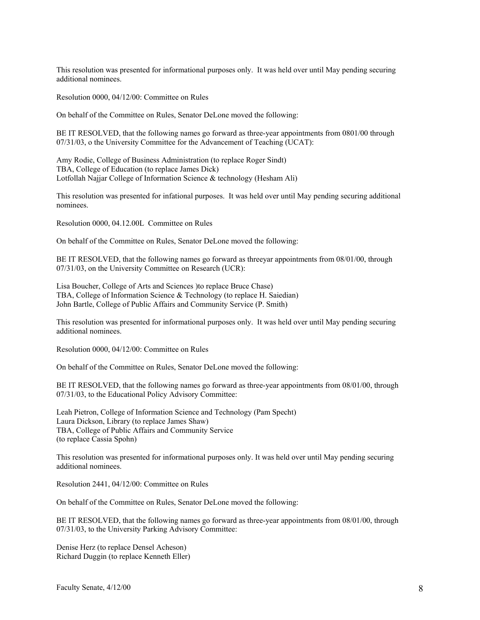This resolution was presented for informational purposes only. It was held over until May pending securing additional nominees.

Resolution 0000, 04/12/00: Committee on Rules

On behalf of the Committee on Rules, Senator DeLone moved the following:

BE IT RESOLVED, that the following names go forward as three-year appointments from 0801/00 through 07/31/03, o the University Committee for the Advancement of Teaching (UCAT):

Amy Rodie, College of Business Administration (to replace Roger Sindt) TBA, College of Education (to replace James Dick) Lotfollah Najjar College of Information Science & technology (Hesham Ali)

This resolution was presented for infational purposes. It was held over until May pending securing additional nominees.

Resolution 0000, 04.12.00L Committee on Rules

On behalf of the Committee on Rules, Senator DeLone moved the following:

BE IT RESOLVED, that the following names go forward as threeyar appointments from 08/01/00, through 07/31/03, on the University Committee on Research (UCR):

Lisa Boucher, College of Arts and Sciences )to replace Bruce Chase) TBA, College of Information Science & Technology (to replace H. Saiedian) John Bartle, College of Public Affairs and Community Service (P. Smith)

This resolution was presented for informational purposes only. It was held over until May pending securing additional nominees.

Resolution 0000, 04/12/00: Committee on Rules

On behalf of the Committee on Rules, Senator DeLone moved the following:

BE IT RESOLVED, that the following names go forward as three-year appointments from 08/01/00, through 07/31/03, to the Educational Policy Advisory Committee:

Leah Pietron, College of Information Science and Technology (Pam Specht) Laura Dickson, Library (to replace James Shaw) TBA, College of Public Affairs and Community Service (to replace Cassia Spohn)

This resolution was presented for informational purposes only. It was held over until May pending securing additional nominees.

Resolution 2441, 04/12/00: Committee on Rules

On behalf of the Committee on Rules, Senator DeLone moved the following:

BE IT RESOLVED, that the following names go forward as three-year appointments from 08/01/00, through 07/31/03, to the University Parking Advisory Committee:

Denise Herz (to replace Densel Acheson) Richard Duggin (to replace Kenneth Eller)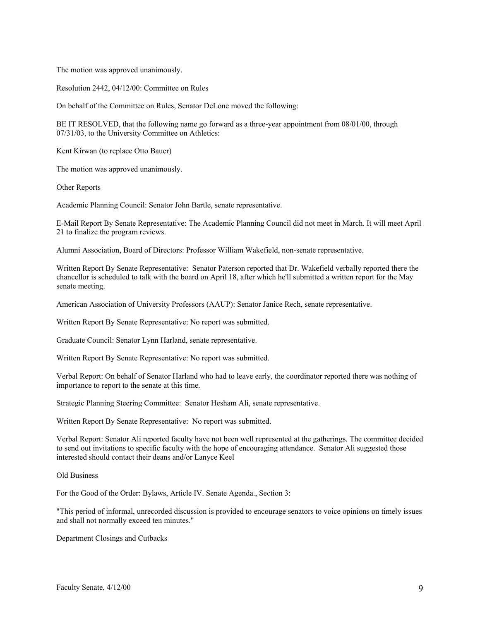The motion was approved unanimously.

Resolution 2442, 04/12/00: Committee on Rules

On behalf of the Committee on Rules, Senator DeLone moved the following:

BE IT RESOLVED, that the following name go forward as a three-year appointment from 08/01/00, through 07/31/03, to the University Committee on Athletics:

Kent Kirwan (to replace Otto Bauer)

The motion was approved unanimously.

Other Reports

Academic Planning Council: Senator John Bartle, senate representative.

E-Mail Report By Senate Representative: The Academic Planning Council did not meet in March. It will meet April 21 to finalize the program reviews.

Alumni Association, Board of Directors: Professor William Wakefield, non-senate representative.

Written Report By Senate Representative: Senator Paterson reported that Dr. Wakefield verbally reported there the chancellor is scheduled to talk with the board on April 18, after which he'll submitted a written report for the May senate meeting.

American Association of University Professors (AAUP): Senator Janice Rech, senate representative.

Written Report By Senate Representative: No report was submitted.

Graduate Council: Senator Lynn Harland, senate representative.

Written Report By Senate Representative: No report was submitted.

Verbal Report: On behalf of Senator Harland who had to leave early, the coordinator reported there was nothing of importance to report to the senate at this time.

Strategic Planning Steering Committee: Senator Hesham Ali, senate representative.

Written Report By Senate Representative: No report was submitted.

Verbal Report: Senator Ali reported faculty have not been well represented at the gatherings. The committee decided to send out invitations to specific faculty with the hope of encouraging attendance. Senator Ali suggested those interested should contact their deans and/or Lanyce Keel

Old Business

For the Good of the Order: Bylaws, Article IV. Senate Agenda., Section 3:

"This period of informal, unrecorded discussion is provided to encourage senators to voice opinions on timely issues and shall not normally exceed ten minutes."

Department Closings and Cutbacks